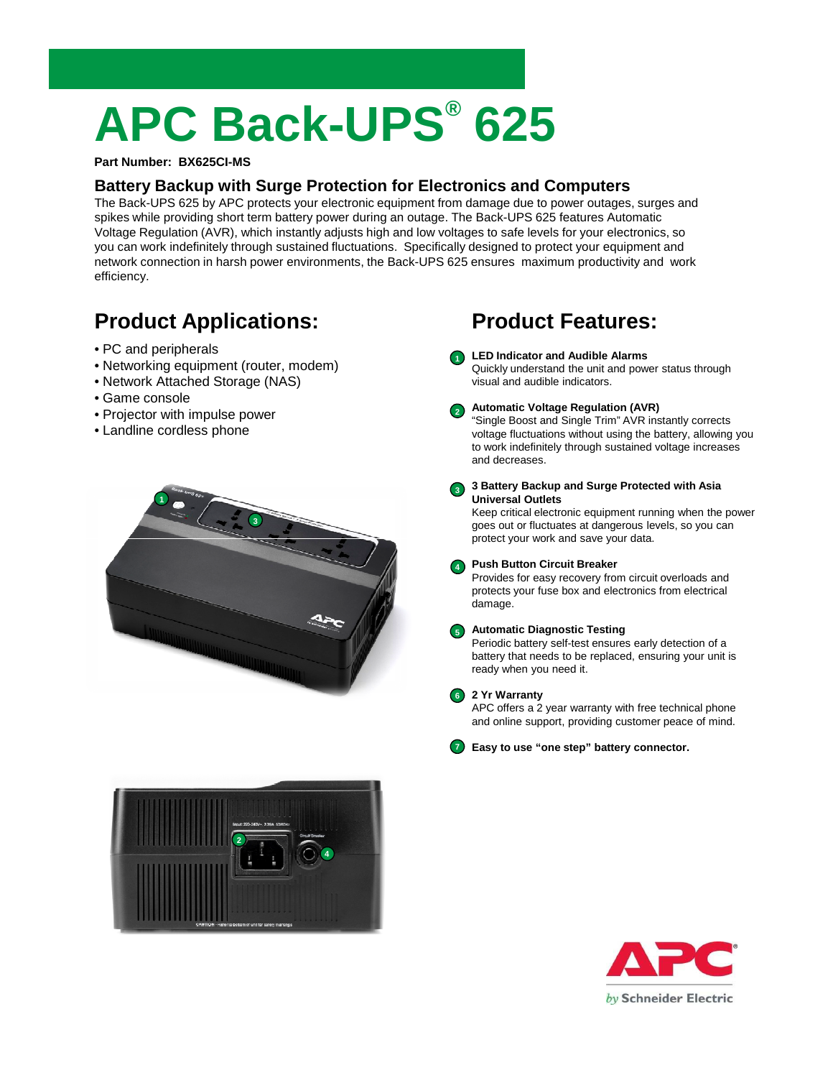# **APC Back-UPS® 625**

### **Part Number: BX625CI-MS**

### **Battery Backup with Surge Protection for Electronics and Computers**

The Back-UPS 625 by APC protects your electronic equipment from damage due to power outages, surges and spikes while providing short term battery power during an outage. The Back-UPS 625 features Automatic Voltage Regulation (AVR), which instantly adjusts high and low voltages to safe levels for your electronics, so you can work indefinitely through sustained fluctuations. Specifically designed to protect your equipment and network connection in harsh power environments, the Back-UPS 625 ensures maximum productivity and work efficiency.

**1**

# **Product Applications:**

- PC and peripherals
- Networking equipment (router, modem)
- Network Attached Storage (NAS)
- Game console
- Projector with impulse power
- Landline cordless phone





## **Product Features:**

### **LED Indicator and Audible Alarms**

Quickly understand the unit and power status through visual and audible indicators.

- **Automatic Voltage Regulation (AVR) 2** "Single Boost and Single Trim" AVR instantly corrects voltage fluctuations without using the battery, allowing you to work indefinitely through sustained voltage increases and decreases.
- **3 Battery Backup and Surge Protected with Asia Universal Outlets 3**

Keep critical electronic equipment running when the power goes out or fluctuates at dangerous levels, so you can protect your work and save your data.

#### **Push Button Circuit Breaker 4**

Provides for easy recovery from circuit overloads and protects your fuse box and electronics from electrical damage.

#### **Automatic Diagnostic Testing 5**

Periodic battery self-test ensures early detection of a battery that needs to be replaced, ensuring your unit is ready when you need it.

### **2 Yr Warranty 6**

APC offers a 2 year warranty with free technical phone and online support, providing customer peace of mind.

**Easy to use "one step" battery connector. 7**